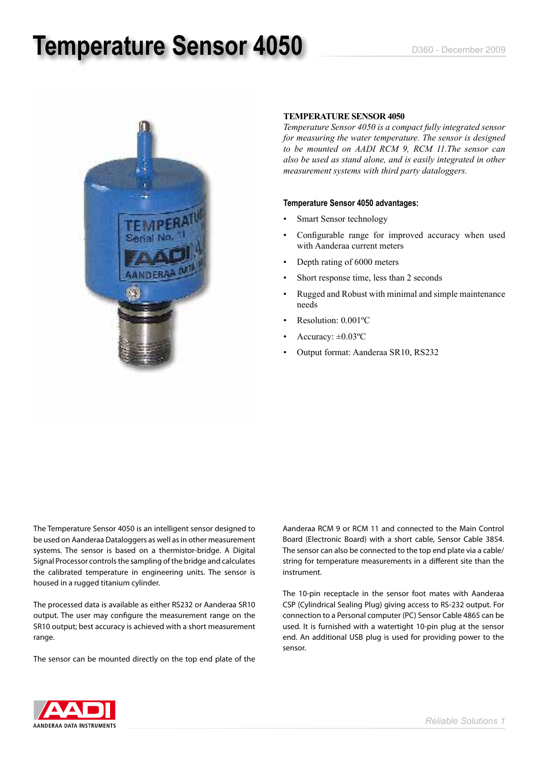## **Temperature Sensor 4050** D360 - D360 - December 2009



#### **Temperature Sensor 4050**

*Temperature Sensor 4050 is a compact fully integrated sensor for measuring the water temperature. The sensor is designed to be mounted on AADI RCM 9, RCM 11.The sensor can also be used as stand alone, and is easily integrated in other measurement systems with third party dataloggers.* 

#### **Temperature Sensor 4050 advantages:**

- Smart Sensor technology
- Configurable range for improved accuracy when used with Aanderaa current meters
- Depth rating of 6000 meters
- Short response time, less than 2 seconds
- Rugged and Robust with minimal and simple maintenance needs
- Resolution: 0.001°C
- Accuracy:  $\pm 0.03$ <sup>o</sup>C
- Output format: Aanderaa SR10, RS232

The Temperature Sensor 4050 is an intelligent sensor designed to be used on Aanderaa Dataloggers as well as in other measurement systems. The sensor is based on a thermistor-bridge. A Digital Signal Processor controls the sampling of the bridge and calculates the calibrated temperature in engineering units. The sensor is housed in a rugged titanium cylinder.

The processed data is available as either RS232 or Aanderaa SR10 output. The user may configure the measurement range on the SR10 output; best accuracy is achieved with a short measurement range.

The sensor can be mounted directly on the top end plate of the

Aanderaa RCM 9 or RCM 11 and connected to the Main Control Board (Electronic Board) with a short cable, Sensor Cable 3854. The sensor can also be connected to the top end plate via a cable/ string for temperature measurements in a different site than the instrument.

The 10-pin receptacle in the sensor foot mates with Aanderaa CSP (Cylindrical Sealing Plug) giving access to RS-232 output. For connection to a Personal computer (PC) Sensor Cable 4865 can be used. It is furnished with a watertight 10-pin plug at the sensor end. An additional USB plug is used for providing power to the sensor.